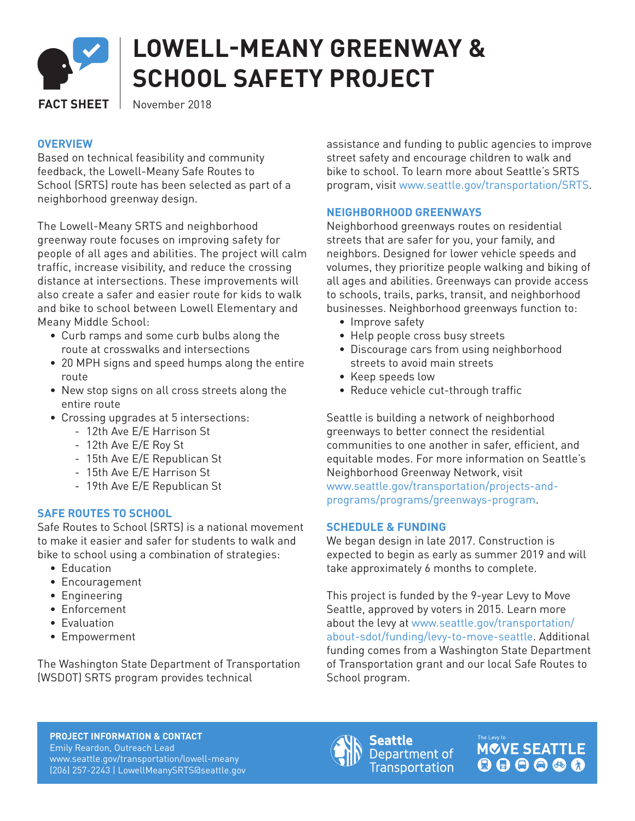

# **LOWELL-MEANY GREENWAY & SCHOOL SAFETY PROJECT**

**FACT SHEET** November 2018

# **OVERVIEW**

Based on technical feasibility and community feedback, the Lowell-Meany Safe Routes to School (SRTS) route has been selected as part of a neighborhood greenway design.

The Lowell-Meany SRTS and neighborhood greenway route focuses on improving safety for people of all ages and abilities. The project will calm traffic, increase visibility, and reduce the crossing distance at intersections. These improvements will also create a safer and easier route for kids to walk and bike to school between Lowell Elementary and Meany Middle School:

- Curb ramps and some curb bulbs along the route at crosswalks and intersections
- 20 MPH signs and speed humps along the entire route
- New stop signs on all cross streets along the entire route
- Crossing upgrades at 5 intersections:
	- 12th Ave E/E Harrison St
	- 12th Ave E/E Roy St
	- 15th Ave E/E Republican St
	- 15th Ave E/E Harrison St
	- 19th Ave E/E Republican St

## **SAFE ROUTES TO SCHOOL**

Safe Routes to School (SRTS) is a national movement to make it easier and safer for students to walk and bike to school using a combination of strategies:

- Education
- Encouragement
- Engineering
- Enforcement
- Evaluation
- Empowerment

The Washington State Department of Transportation (WSDOT) SRTS program provides technical

assistance and funding to public agencies to improve street safety and encourage children to walk and bike to school. To learn more about Seattle's SRTS program, visit www.seattle.gov/transportation/SRTS.

# **NEIGHBORHOOD GREENWAYS**

Neighborhood greenways routes on residential streets that are safer for you, your family, and neighbors. Designed for lower vehicle speeds and volumes, they prioritize people walking and biking of all ages and abilities. Greenways can provide access to schools, trails, parks, transit, and neighborhood businesses. Neighborhood greenways function to:

- Improve safety
- Help people cross busy streets
- Discourage cars from using neighborhood streets to avoid main streets
- Keep speeds low
- Reduce vehicle cut-through traffic

Seattle is building a network of neighborhood greenways to better connect the residential communities to one another in safer, efficient, and equitable modes. For more information on Seattle's Neighborhood Greenway Network, visit www.seattle.gov/transportation/projects-andprograms/programs/greenways-program.

## **SCHEDULE & FUNDING**

We began design in late 2017. Construction is expected to begin as early as summer 2019 and will take approximately 6 months to complete.

This project is funded by the 9-year Levy to Move Seattle, approved by voters in 2015. Learn more about the levy at www.seattle.gov/transportation/ about-sdot/funding/levy-to-move-seattle. Additional funding comes from a Washington State Department of Transportation grant and our local Safe Routes to School program.

**PROJECT INFORMATION & CONTACT** Emily Reardon, Outreach Lead www.seattle.gov/transportation/lowell-meany (206) 257-2243 | LowellMeanySRTS@seattle.gov



Seattle Department of **Transportation**  **MCVE SEATTLE**  $\begin{array}{c} \bullet\bullet\bullet\bullet\bullet\bullet \end{array}$